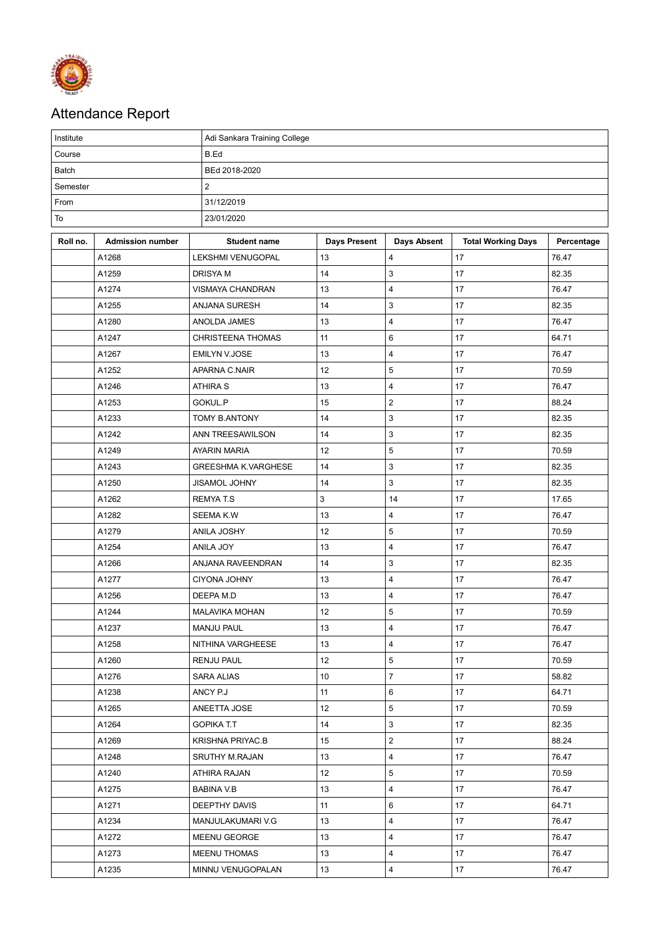

## Attendance Report

| Institute |                         | Adi Sankara Training College |                     |                         |                           |            |  |  |  |
|-----------|-------------------------|------------------------------|---------------------|-------------------------|---------------------------|------------|--|--|--|
| Course    |                         | B.Ed                         |                     |                         |                           |            |  |  |  |
| Batch     |                         | BEd 2018-2020                |                     |                         |                           |            |  |  |  |
| Semester  |                         | 2                            |                     |                         |                           |            |  |  |  |
| From      |                         | 31/12/2019                   |                     |                         |                           |            |  |  |  |
| To        |                         | 23/01/2020                   |                     |                         |                           |            |  |  |  |
| Roll no.  | <b>Admission number</b> | <b>Student name</b>          | <b>Days Present</b> | <b>Days Absent</b>      | <b>Total Working Days</b> | Percentage |  |  |  |
|           | A1268                   | <b>LEKSHMI VENUGOPAL</b>     | 13                  | 4                       | 17                        | 76.47      |  |  |  |
|           | A1259                   | <b>DRISYAM</b>               | 14                  | 3                       | 17                        | 82.35      |  |  |  |
|           | A1274                   | VISMAYA CHANDRAN             | 13                  | $\overline{4}$          | 17                        | 76.47      |  |  |  |
|           | A1255                   | ANJANA SURESH                | 14                  | 3                       | 17                        | 82.35      |  |  |  |
|           | A1280                   | ANOLDA JAMES                 | 13                  | 4                       | 17                        | 76.47      |  |  |  |
|           | A1247                   | <b>CHRISTEENA THOMAS</b>     | 11                  | 6                       | 17                        | 64.71      |  |  |  |
|           | A1267                   | <b>EMILYN V.JOSE</b>         | 13                  | 4                       | 17                        | 76.47      |  |  |  |
|           | A1252                   | APARNA C.NAIR                | 12                  | 5                       | 17                        | 70.59      |  |  |  |
|           | A1246                   | <b>ATHIRA S</b>              | 13                  | 4                       | 17                        | 76.47      |  |  |  |
|           | A1253                   | GOKUL.P                      | 15                  | $\overline{\mathbf{c}}$ | 17                        | 88.24      |  |  |  |
|           | A1233                   | <b>TOMY B.ANTONY</b>         | 14                  | 3                       | 17                        | 82.35      |  |  |  |
|           | A1242                   | ANN TREESAWILSON             | 14                  | 3                       | 17                        | 82.35      |  |  |  |
|           | A1249                   | <b>AYARIN MARIA</b>          | 12                  | 5                       | 17                        | 70.59      |  |  |  |
|           | A1243                   | <b>GREESHMA K.VARGHESE</b>   | 14                  | 3                       | 17                        | 82.35      |  |  |  |
|           | A1250                   | <b>JISAMOL JOHNY</b>         | 14                  | 3                       | 17                        | 82.35      |  |  |  |
|           | A1262                   | <b>REMYAT.S</b>              | 3                   | 14                      | 17                        | 17.65      |  |  |  |
|           | A1282                   | <b>SEEMA K.W</b>             | 13                  | $\overline{4}$          | 17                        | 76.47      |  |  |  |
|           | A1279                   | ANILA JOSHY                  | 12                  | 5                       | 17                        | 70.59      |  |  |  |
|           | A1254                   | ANILA JOY                    | 13                  | 4                       | 17                        | 76.47      |  |  |  |
|           | A1266                   | ANJANA RAVEENDRAN            | 14                  | 3                       | 17                        | 82.35      |  |  |  |
|           | A1277                   | <b>CIYONA JOHNY</b>          | 13                  | 4                       | 17                        | 76.47      |  |  |  |
|           | A1256                   | DEEPA M.D                    | 13                  | 4                       | 17                        | 76.47      |  |  |  |
|           | A1244                   | <b>MALAVIKA MOHAN</b>        | 12                  | 5                       | 17                        | 70.59      |  |  |  |
|           | A1237                   | MANJU PAUL                   | 13                  | 4                       | 17                        | 76.47      |  |  |  |
|           | A1258                   | NITHINA VARGHEESE            | 13                  | 4                       | 17                        | 76.47      |  |  |  |
|           | A1260                   | <b>RENJU PAUL</b>            | 12                  | 5                       | 17                        | 70.59      |  |  |  |
|           | A1276                   | <b>SARA ALIAS</b>            | 10                  | $\overline{7}$          | 17                        | 58.82      |  |  |  |
|           | A1238                   | ANCY P.J                     | 11                  | 6                       | 17                        | 64.71      |  |  |  |
|           | A1265                   | ANEETTA JOSE                 | $12 \overline{ }$   | 5                       | 17                        | 70.59      |  |  |  |
|           | A1264                   | <b>GOPIKA T.T</b>            | 14                  | 3                       | 17                        | 82.35      |  |  |  |
|           | A1269                   | KRISHNA PRIYAC.B             | 15                  | $\mathbf{2}$            | 17                        | 88.24      |  |  |  |
|           | A1248                   | SRUTHY M.RAJAN               | 13                  | 4                       | 17                        | 76.47      |  |  |  |
|           | A1240                   | ATHIRA RAJAN                 | 12                  | 5                       | 17                        | 70.59      |  |  |  |
|           | A1275                   | BABINA V.B                   | 13                  | 4                       | 17                        | 76.47      |  |  |  |
|           | A1271                   | DEEPTHY DAVIS                | 11                  | 6                       | 17                        | 64.71      |  |  |  |
|           | A1234                   | MANJULAKUMARI V.G            | 13                  | 4                       | 17                        | 76.47      |  |  |  |
|           | A1272                   | MEENU GEORGE                 | 13                  | 4                       | 17                        | 76.47      |  |  |  |
|           | A1273                   | MEENU THOMAS                 | 13                  | 4                       | 17                        | 76.47      |  |  |  |
|           | A1235                   | MINNU VENUGOPALAN            | 13                  | 4                       | 17                        | 76.47      |  |  |  |
|           |                         |                              |                     |                         |                           |            |  |  |  |